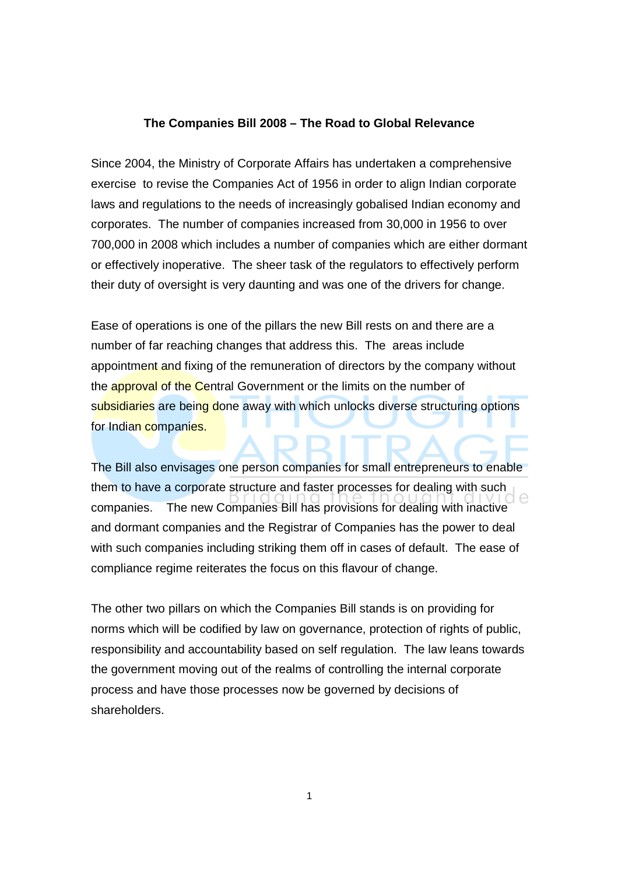## **The Companies Bill 2008 – The Road to Global Relevance**

Since 2004, the Ministry of Corporate Affairs has undertaken a comprehensive exercise to revise the Companies Act of 1956 in order to align Indian corporate laws and regulations to the needs of increasingly gobalised Indian economy and corporates. The number of companies increased from 30,000 in 1956 to over 700,000 in 2008 which includes a number of companies which are either dormant or effectively inoperative. The sheer task of the regulators to effectively perform their duty of oversight is very daunting and was one of the drivers for change.

Ease of operations is one of the pillars the new Bill rests on and there are a number of far reaching changes that address this. The areas include appointment and fixing of the remuneration of directors by the company without the approval of the Central Government or the limits on the number of subsidiaries are being done away with which unlocks diverse structuring options for Indian companies.

The Bill also envisages one person companies for small entrepreneurs to enable them to have a corporate structure and faster processes for dealing with such companies. The new Companies Bill has provisions for dealing with inactive and dormant companies and the Registrar of Companies has the power to deal with such companies including striking them off in cases of default. The ease of compliance regime reiterates the focus on this flavour of change.

The other two pillars on which the Companies Bill stands is on providing for norms which will be codified by law on governance, protection of rights of public, responsibility and accountability based on self regulation. The law leans towards the government moving out of the realms of controlling the internal corporate process and have those processes now be governed by decisions of shareholders.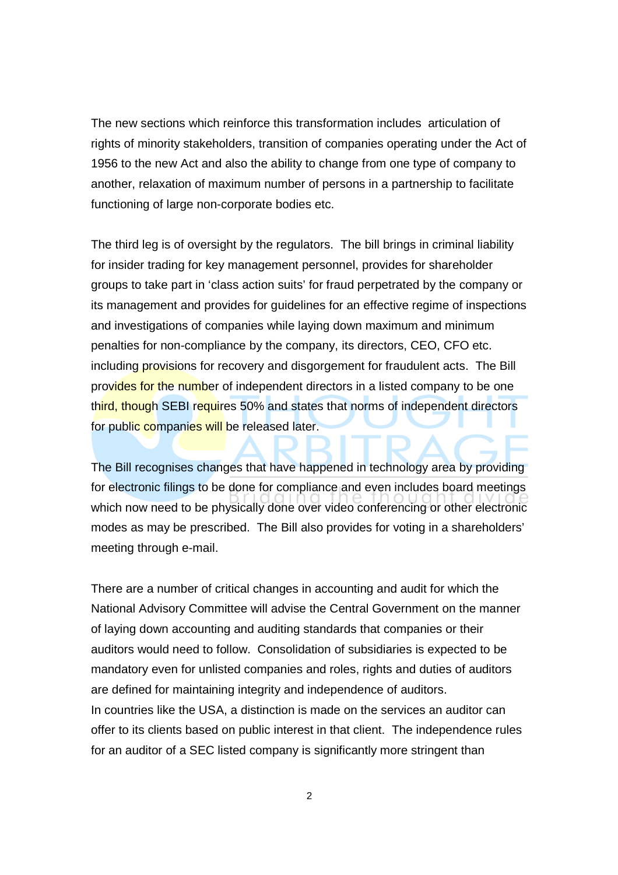The new sections which reinforce this transformation includes articulation of rights of minority stakeholders, transition of companies operating under the Act of 1956 to the new Act and also the ability to change from one type of company to another, relaxation of maximum number of persons in a partnership to facilitate functioning of large non-corporate bodies etc.

The third leg is of oversight by the regulators. The bill brings in criminal liability for insider trading for key management personnel, provides for shareholder groups to take part in 'class action suits' for fraud perpetrated by the company or its management and provides for guidelines for an effective regime of inspections and investigations of companies while laying down maximum and minimum penalties for non-compliance by the company, its directors, CEO, CFO etc. including provisions for recovery and disgorgement for fraudulent acts. The Bill provides for the number of independent directors in a listed company to be one third, though SEBI requires 50% and states that norms of independent directors for public companies will be released later.

The Bill recognises changes that have happened in technology area by providing for electronic filings to be done for compliance and even includes board meetings which now need to be physically done over video conferencing or other electronic modes as may be prescribed. The Bill also provides for voting in a shareholders' meeting through e-mail.

There are a number of critical changes in accounting and audit for which the National Advisory Committee will advise the Central Government on the manner of laying down accounting and auditing standards that companies or their auditors would need to follow. Consolidation of subsidiaries is expected to be mandatory even for unlisted companies and roles, rights and duties of auditors are defined for maintaining integrity and independence of auditors. In countries like the USA, a distinction is made on the services an auditor can offer to its clients based on public interest in that client. The independence rules for an auditor of a SEC listed company is significantly more stringent than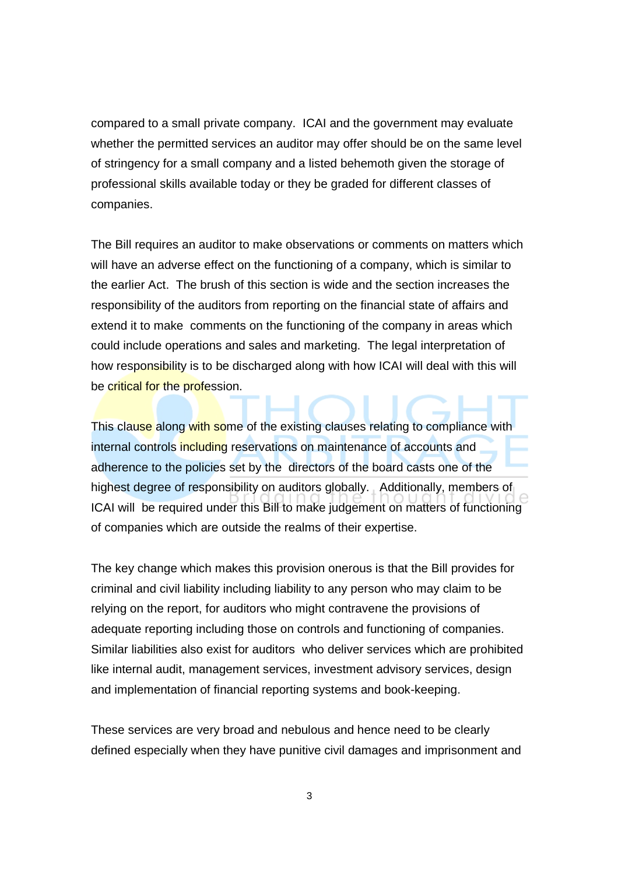compared to a small private company. ICAI and the government may evaluate whether the permitted services an auditor may offer should be on the same level of stringency for a small company and a listed behemoth given the storage of professional skills available today or they be graded for different classes of companies.

The Bill requires an auditor to make observations or comments on matters which will have an adverse effect on the functioning of a company, which is similar to the earlier Act. The brush of this section is wide and the section increases the responsibility of the auditors from reporting on the financial state of affairs and extend it to make comments on the functioning of the company in areas which could include operations and sales and marketing. The legal interpretation of how responsibility is to be discharged along with how ICAI will deal with this will be critical for the profession.

This clause along with some of the existing clauses relating to compliance with internal controls including reservations on maintenance of accounts and adherence to the policies set by the directors of the board casts one of the highest degree of responsibility on auditors globally. Additionally, members of ICAI will be required under this Bill to make judgement on matters of functioning of companies which are outside the realms of their expertise.

The key change which makes this provision onerous is that the Bill provides for criminal and civil liability including liability to any person who may claim to be relying on the report, for auditors who might contravene the provisions of adequate reporting including those on controls and functioning of companies. Similar liabilities also exist for auditors who deliver services which are prohibited like internal audit, management services, investment advisory services, design and implementation of financial reporting systems and book-keeping.

These services are very broad and nebulous and hence need to be clearly defined especially when they have punitive civil damages and imprisonment and